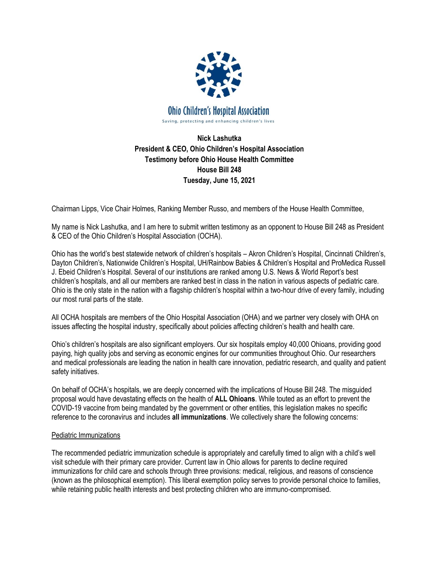

**Nick Lashutka President & CEO, Ohio Children's Hospital Association Testimony before Ohio House Health Committee House Bill 248 Tuesday, June 15, 2021**

Chairman Lipps, Vice Chair Holmes, Ranking Member Russo, and members of the House Health Committee,

My name is Nick Lashutka, and I am here to submit written testimony as an opponent to House Bill 248 as President & CEO of the Ohio Children's Hospital Association (OCHA).

Ohio has the world's best statewide network of children's hospitals – Akron Children's Hospital, Cincinnati Children's, Dayton Children's, Nationwide Children's Hospital, UH/Rainbow Babies & Children's Hospital and ProMedica Russell J. Ebeid Children's Hospital. Several of our institutions are ranked among U.S. News & World Report's best children's hospitals, and all our members are ranked best in class in the nation in various aspects of pediatric care. Ohio is the only state in the nation with a flagship children's hospital within a two-hour drive of every family, including our most rural parts of the state.

All OCHA hospitals are members of the Ohio Hospital Association (OHA) and we partner very closely with OHA on issues affecting the hospital industry, specifically about policies affecting children's health and health care.

Ohio's children's hospitals are also significant employers. Our six hospitals employ 40,000 Ohioans, providing good paying, high quality jobs and serving as economic engines for our communities throughout Ohio. Our researchers and medical professionals are leading the nation in health care innovation, pediatric research, and quality and patient safety initiatives.

On behalf of OCHA's hospitals, we are deeply concerned with the implications of House Bill 248. The misguided proposal would have devastating effects on the health of **ALL Ohioans**. While touted as an effort to prevent the COVID-19 vaccine from being mandated by the government or other entities, this legislation makes no specific reference to the coronavirus and includes **all immunizations**. We collectively share the following concerns:

## Pediatric Immunizations

The recommended pediatric immunization schedule is appropriately and carefully timed to align with a child's well visit schedule with their primary care provider. Current law in Ohio allows for parents to decline required immunizations for child care and schools through three provisions: medical, religious, and reasons of conscience (known as the philosophical exemption). This liberal exemption policy serves to provide personal choice to families, while retaining public health interests and best protecting children who are immuno-compromised.